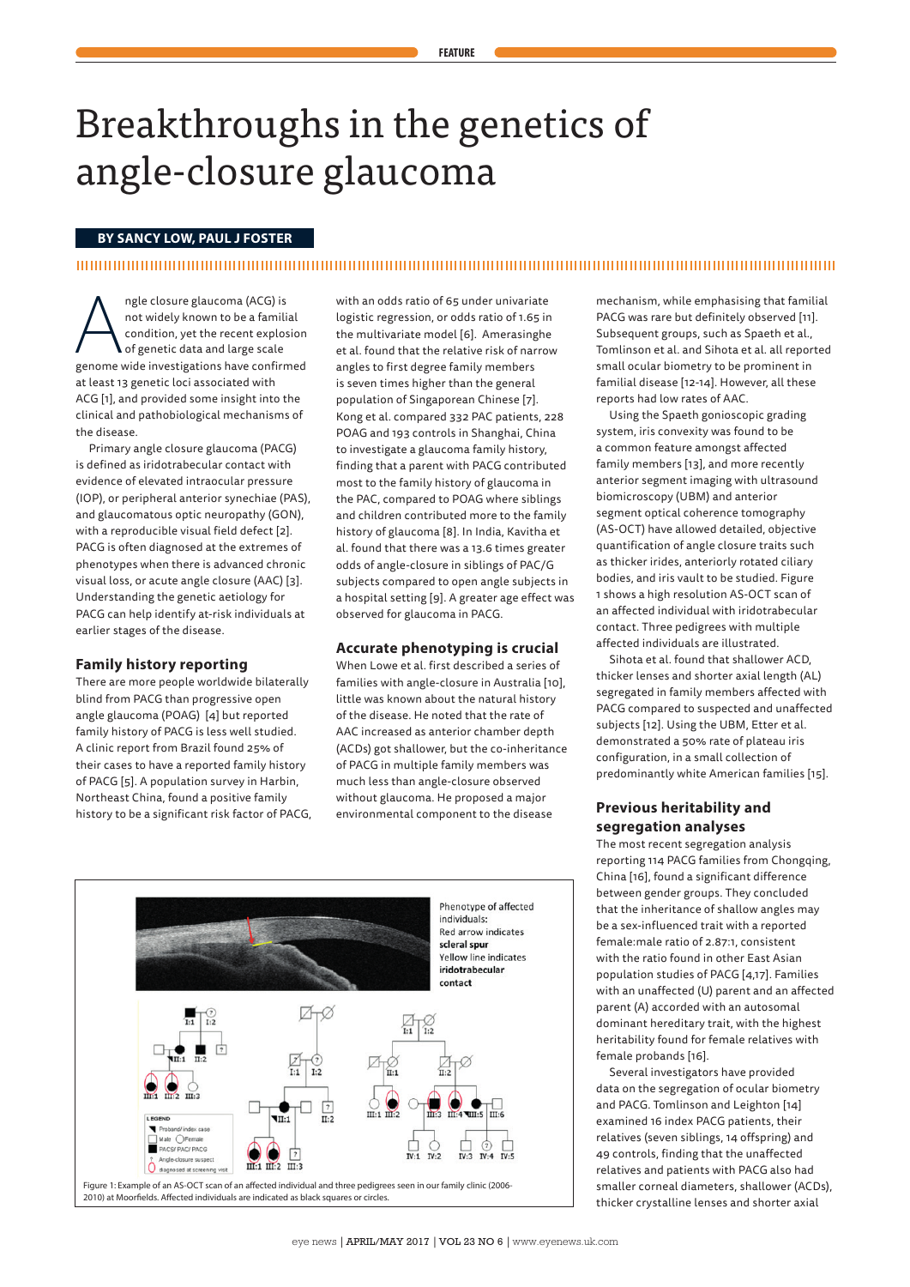# Breakthroughs in the genetics of angle-closure glaucoma

## **BY SANCY LOW, PAUL J FOSTER**

## 

ngle closure glaucoma (ACG) is<br>not widely known to be a famili<br>condition, yet the recent explos<br>of genetic data and large scale<br>genome wide investigations have confirm not widely known to be a familial condition, yet the recent explosion of genetic data and large scale genome wide investigations have confirmed at least 13 genetic loci associated with ACG [1], and provided some insight into the clinical and pathobiological mechanisms of the disease.

Primary angle closure glaucoma (PACG) is defined as iridotrabecular contact with evidence of elevated intraocular pressure (IOP), or peripheral anterior synechiae (PAS), and glaucomatous optic neuropathy (GON), with a reproducible visual field defect [2]. PACG is often diagnosed at the extremes of phenotypes when there is advanced chronic visual loss, or acute angle closure (AAC) [3]. Understanding the genetic aetiology for PACG can help identify at-risk individuals at earlier stages of the disease.

## **Family history reporting**

There are more people worldwide bilaterally blind from PACG than progressive open angle glaucoma (POAG) [4] but reported family history of PACG is less well studied. A clinic report from Brazil found 25% of their cases to have a reported family history of PACG [5]. A population survey in Harbin, Northeast China, found a positive family history to be a significant risk factor of PACG, with an odds ratio of 65 under univariate logistic regression, or odds ratio of 1.65 in the multivariate model [6]. Amerasinghe et al. found that the relative risk of narrow angles to first degree family members is seven times higher than the general population of Singaporean Chinese [7]. Kong et al. compared 332 PAC patients, 228 POAG and 193 controls in Shanghai, China to investigate a glaucoma family history, finding that a parent with PACG contributed most to the family history of glaucoma in the PAC, compared to POAG where siblings and children contributed more to the family history of glaucoma [8]. In India, Kavitha et al. found that there was a 13.6 times greater odds of angle-closure in siblings of PAC/G subjects compared to open angle subjects in a hospital setting [9]. A greater age effect was observed for glaucoma in PACG.

#### **Accurate phenotyping is crucial**

When Lowe et al. first described a series of families with angle-closure in Australia [10], little was known about the natural history of the disease. He noted that the rate of AAC increased as anterior chamber depth (ACDs) got shallower, but the co-inheritance of PACG in multiple family members was much less than angle-closure observed without glaucoma. He proposed a major environmental component to the disease



mechanism, while emphasising that familial PACG was rare but definitely observed [11]. Subsequent groups, such as Spaeth et al., Tomlinson et al. and Sihota et al. all reported small ocular biometry to be prominent in familial disease [12-14]. However, all these reports had low rates of AAC.

Using the Spaeth gonioscopic grading system, iris convexity was found to be a common feature amongst affected family members [13], and more recently anterior segment imaging with ultrasound biomicroscopy (UBM) and anterior segment optical coherence tomography (AS-OCT) have allowed detailed, objective quantification of angle closure traits such as thicker irides, anteriorly rotated ciliary bodies, and iris vault to be studied. Figure 1 shows a high resolution AS-OCT scan of an affected individual with iridotrabecular contact. Three pedigrees with multiple affected individuals are illustrated.

Sihota et al. found that shallower ACD, thicker lenses and shorter axial length (AL) segregated in family members affected with PACG compared to suspected and unaffected subjects [12]. Using the UBM, Etter et al. demonstrated a 50% rate of plateau iris configuration, in a small collection of predominantly white American families [15].

# **Previous heritability and segregation analyses**

The most recent segregation analysis reporting 114 PACG families from Chongqing, China [16], found a significant difference between gender groups. They concluded that the inheritance of shallow angles may be a sex-influenced trait with a reported female:male ratio of 2.87:1, consistent with the ratio found in other East Asian population studies of PACG [4,17]. Families with an unaffected (U) parent and an affected parent (A) accorded with an autosomal dominant hereditary trait, with the highest heritability found for female relatives with female probands [16].

Several investigators have provided data on the segregation of ocular biometry and PACG. Tomlinson and Leighton [14] examined 16 index PACG patients, their relatives (seven siblings, 14 offspring) and 49 controls, finding that the unaffected relatives and patients with PACG also had smaller corneal diameters, shallower (ACDs), thicker crystalline lenses and shorter axial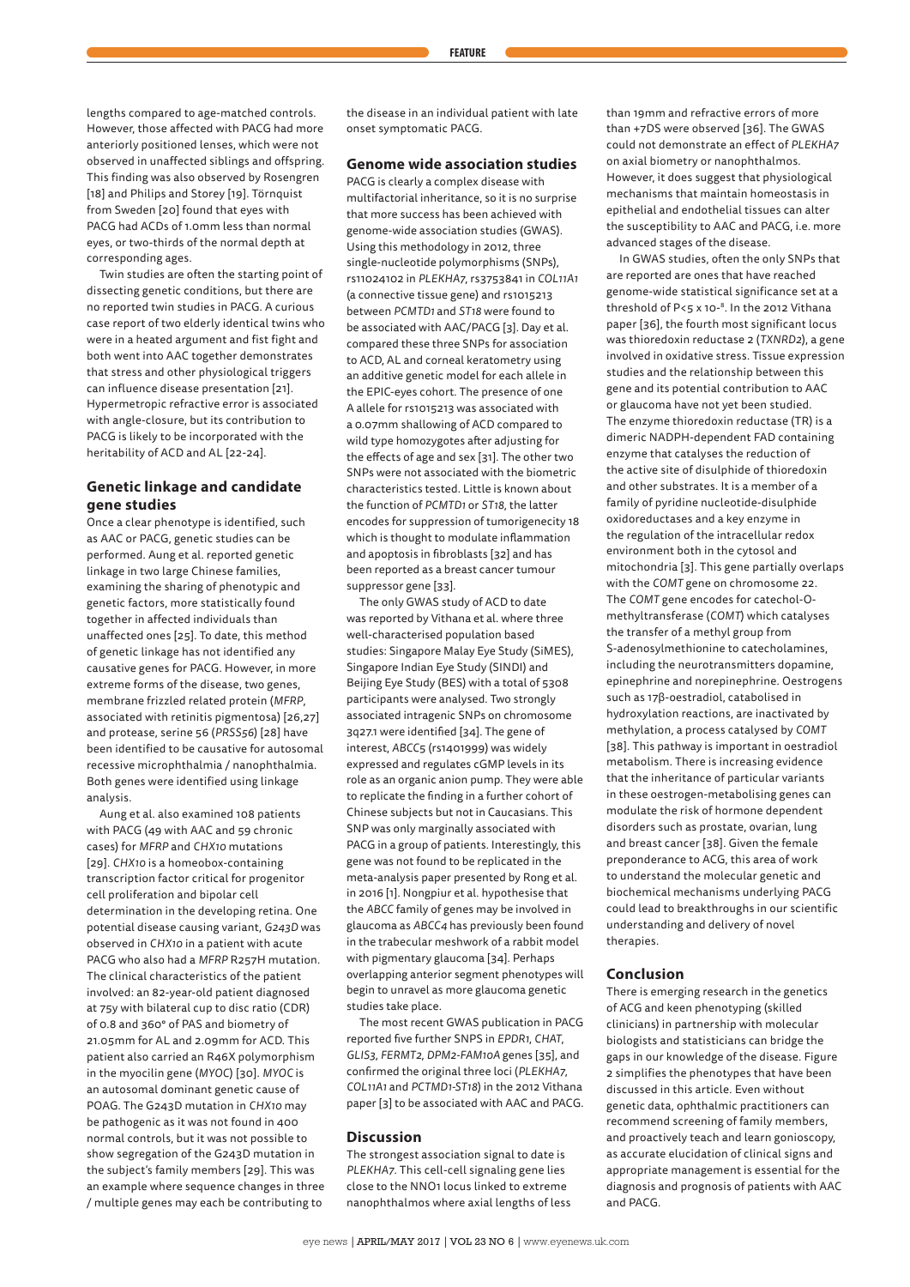lengths compared to age-matched controls. However, those affected with PACG had more anteriorly positioned lenses, which were not observed in unaffected siblings and offspring. This finding was also observed by Rosengren [18] and Philips and Storey [19]. Törnquist from Sweden [20] found that eyes with PACG had ACDs of 1.0mm less than normal eyes, or two-thirds of the normal depth at corresponding ages.

Twin studies are often the starting point of dissecting genetic conditions, but there are no reported twin studies in PACG. A curious case report of two elderly identical twins who were in a heated argument and fist fight and both went into AAC together demonstrates that stress and other physiological triggers can influence disease presentation [21]. Hypermetropic refractive error is associated with angle-closure, but its contribution to PACG is likely to be incorporated with the heritability of ACD and AL [22-24].

## **Genetic linkage and candidate gene studies**

Once a clear phenotype is identified, such as AAC or PACG, genetic studies can be performed. Aung et al. reported genetic linkage in two large Chinese families, examining the sharing of phenotypic and genetic factors, more statistically found together in affected individuals than unaffected ones [25]. To date, this method of genetic linkage has not identified any causative genes for PACG. However, in more extreme forms of the disease, two genes, membrane frizzled related protein (*MFRP*, associated with retinitis pigmentosa) [26,27] and protease, serine 56 (*PRSS56*) [28] have been identified to be causative for autosomal recessive microphthalmia / nanophthalmia. Both genes were identified using linkage analysis.

Aung et al. also examined 108 patients with PACG (49 with AAC and 59 chronic cases) for *MFRP* and *CHX10* mutations [29]. *CHX10* is a homeobox-containing transcription factor critical for progenitor cell proliferation and bipolar cell determination in the developing retina. One potential disease causing variant, *G243D* was observed in *CHX10* in a patient with acute PACG who also had a *MFRP* R257H mutation. The clinical characteristics of the patient involved: an 82-year-old patient diagnosed at 75y with bilateral cup to disc ratio (CDR) of 0.8 and 360° of PAS and biometry of 21.05mm for AL and 2.09mm for ACD. This patient also carried an R46X polymorphism in the myocilin gene (*MYOC*) [30]. *MYOC* is an autosomal dominant genetic cause of POAG. The G243D mutation in *CHX10* may be pathogenic as it was not found in 400 normal controls, but it was not possible to show segregation of the G243D mutation in the subject's family members [29]. This was an example where sequence changes in three / multiple genes may each be contributing to

the disease in an individual patient with late onset symptomatic PACG.

#### **Genome wide association studies**

PACG is clearly a complex disease with multifactorial inheritance, so it is no surprise that more success has been achieved with genome-wide association studies (GWAS). Using this methodology in 2012, three single-nucleotide polymorphisms (SNPs), rs11024102 in *PLEKHA7*, rs3753841 in *COL11A1* (a connective tissue gene) and rs1015213 between *PCMTD1* and *ST18* were found to be associated with AAC/PACG [3]. Day et al. compared these three SNPs for association to ACD, AL and corneal keratometry using an additive genetic model for each allele in the EPIC-eyes cohort. The presence of one A allele for rs1015213 was associated with a 0.07mm shallowing of ACD compared to wild type homozygotes after adjusting for the effects of age and sex [31]. The other two SNPs were not associated with the biometric characteristics tested. Little is known about the function of *PCMTD1* or *ST18*, the latter encodes for suppression of tumorigenecity 18 which is thought to modulate inflammation and apoptosis in fibroblasts [32] and has been reported as a breast cancer tumour suppressor gene [33].

The only GWAS study of ACD to date was reported by Vithana et al. where three well-characterised population based studies: Singapore Malay Eye Study (SiMES), Singapore Indian Eye Study (SINDI) and Beijing Eye Study (BES) with a total of 5308 participants were analysed. Two strongly associated intragenic SNPs on chromosome 3q27.1 were identified [34]. The gene of interest, *ABCC*5 (rs1401999) was widely expressed and regulates cGMP levels in its role as an organic anion pump. They were able to replicate the finding in a further cohort of Chinese subjects but not in Caucasians. This SNP was only marginally associated with PACG in a group of patients. Interestingly, this gene was not found to be replicated in the meta-analysis paper presented by Rong et al. in 2016 [1]. Nongpiur et al. hypothesise that the *ABCC* family of genes may be involved in glaucoma as *ABCC4* has previously been found in the trabecular meshwork of a rabbit model with pigmentary glaucoma [34]. Perhaps overlapping anterior segment phenotypes will begin to unravel as more glaucoma genetic studies take place.

The most recent GWAS publication in PACG reported five further SNPS in *EPDR1*, *CHAT*, *GLIS3*, *FERMT2*, *DPM2-FAM10A* genes [35], and confirmed the original three loci (*PLEKHA7*, *COL11A1* and *PCTMD1-ST18*) in the 2012 Vithana paper [3] to be associated with AAC and PACG.

#### **Discussion**

The strongest association signal to date is *PLEKHA7*. This cell-cell signaling gene lies close to the NNO1 locus linked to extreme nanophthalmos where axial lengths of less than 19mm and refractive errors of more than +7DS were observed [36]. The GWAS could not demonstrate an effect of *PLEKHA7* on axial biometry or nanophthalmos. However, it does suggest that physiological mechanisms that maintain homeostasis in epithelial and endothelial tissues can alter the susceptibility to AAC and PACG, i.e. more advanced stages of the disease.

In GWAS studies, often the only SNPs that are reported are ones that have reached genome-wide statistical significance set at a threshold of P<5 x 10-8. In the 2012 Vithana paper [36], the fourth most significant locus was thioredoxin reductase 2 (*TXNRD2*), a gene involved in oxidative stress. Tissue expression studies and the relationship between this gene and its potential contribution to AAC or glaucoma have not yet been studied. The enzyme thioredoxin reductase (TR) is a dimeric NADPH-dependent FAD containing enzyme that catalyses the reduction of the active site of disulphide of thioredoxin and other substrates. It is a member of a family of pyridine nucleotide-disulphide oxidoreductases and a key enzyme in the regulation of the intracellular redox environment both in the cytosol and mitochondria [3]. This gene partially overlaps with the *COMT* gene on chromosome 22. The *COMT* gene encodes for catechol-Omethyltransferase (*COMT*) which catalyses the transfer of a methyl group from S-adenosylmethionine to catecholamines, including the neurotransmitters dopamine, epinephrine and norepinephrine. Oestrogens such as 17β-oestradiol, catabolised in hydroxylation reactions, are inactivated by methylation, a process catalysed by *COMT* [38]. This pathway is important in oestradiol metabolism. There is increasing evidence that the inheritance of particular variants in these oestrogen-metabolising genes can modulate the risk of hormone dependent disorders such as prostate, ovarian, lung and breast cancer [38]. Given the female preponderance to ACG, this area of work to understand the molecular genetic and biochemical mechanisms underlying PACG could lead to breakthroughs in our scientific understanding and delivery of novel therapies.

## **Conclusion**

There is emerging research in the genetics of ACG and keen phenotyping (skilled clinicians) in partnership with molecular biologists and statisticians can bridge the gaps in our knowledge of the disease. Figure 2 simplifies the phenotypes that have been discussed in this article. Even without genetic data, ophthalmic practitioners can recommend screening of family members, and proactively teach and learn gonioscopy, as accurate elucidation of clinical signs and appropriate management is essential for the diagnosis and prognosis of patients with AAC and PACG.